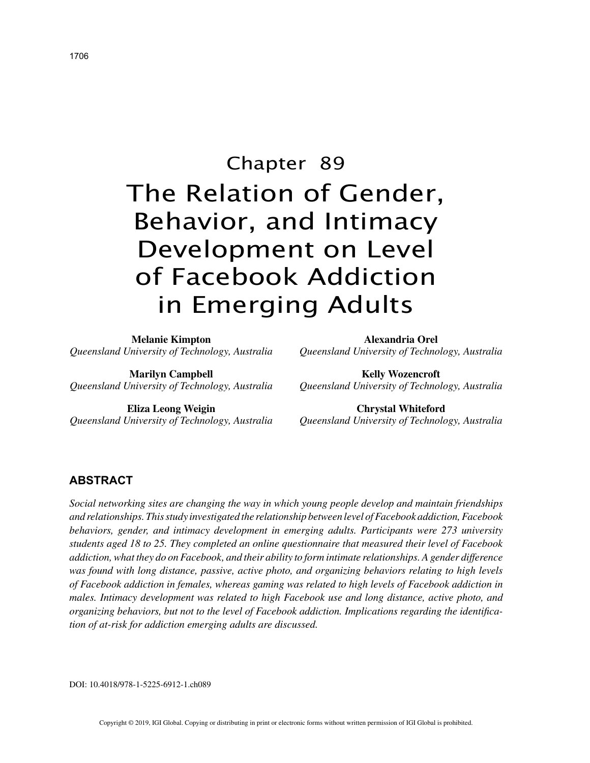# Chapter 89 The Relation of Gender, Behavior, and Intimacy Development on Level of Facebook Addiction in Emerging Adults

**Melanie Kimpton** *Queensland University of Technology, Australia*

**Marilyn Campbell** *Queensland University of Technology, Australia*

**Eliza Leong Weigin** *Queensland University of Technology, Australia*

**Alexandria Orel** *Queensland University of Technology, Australia*

**Kelly Wozencroft** *Queensland University of Technology, Australia*

**Chrystal Whiteford** *Queensland University of Technology, Australia*

# **ABSTRACT**

*Social networking sites are changing the way in which young people develop and maintain friendships and relationships. This study investigated the relationship between level of Facebook addiction, Facebook behaviors, gender, and intimacy development in emerging adults. Participants were 273 university students aged 18 to 25. They completed an online questionnaire that measured their level of Facebook addiction, what they do on Facebook, and their ability to form intimate relationships. A gender difference was found with long distance, passive, active photo, and organizing behaviors relating to high levels of Facebook addiction in females, whereas gaming was related to high levels of Facebook addiction in males. Intimacy development was related to high Facebook use and long distance, active photo, and organizing behaviors, but not to the level of Facebook addiction. Implications regarding the identification of at-risk for addiction emerging adults are discussed.*

DOI: 10.4018/978-1-5225-6912-1.ch089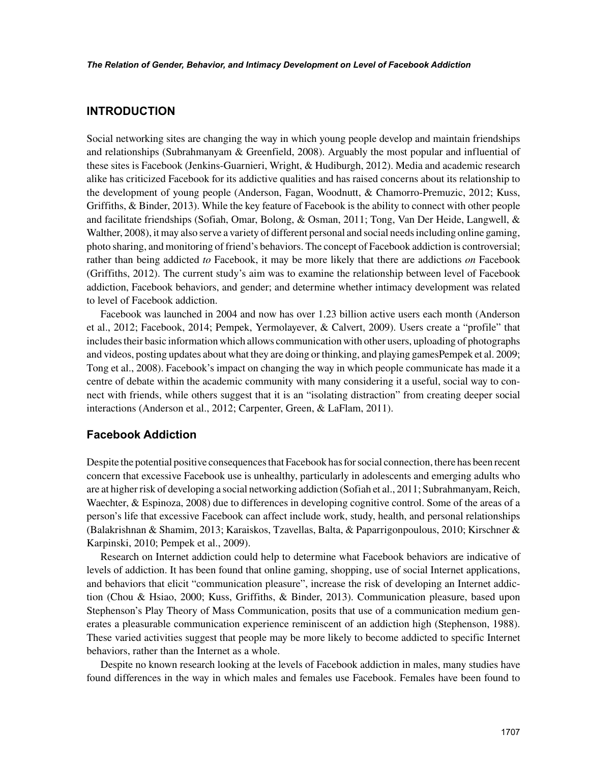## **INTRODUCTION**

Social networking sites are changing the way in which young people develop and maintain friendships and relationships (Subrahmanyam & Greenfield, 2008). Arguably the most popular and influential of these sites is Facebook (Jenkins-Guarnieri, Wright, & Hudiburgh, 2012). Media and academic research alike has criticized Facebook for its addictive qualities and has raised concerns about its relationship to the development of young people (Anderson, Fagan, Woodnutt, & Chamorro-Premuzic, 2012; Kuss, Griffiths, & Binder, 2013). While the key feature of Facebook is the ability to connect with other people and facilitate friendships (Sofiah, Omar, Bolong, & Osman, 2011; Tong, Van Der Heide, Langwell, & Walther, 2008), it may also serve a variety of different personal and social needs including online gaming, photo sharing, and monitoring of friend's behaviors. The concept of Facebook addiction is controversial; rather than being addicted *to* Facebook, it may be more likely that there are addictions *on* Facebook (Griffiths, 2012). The current study's aim was to examine the relationship between level of Facebook addiction, Facebook behaviors, and gender; and determine whether intimacy development was related to level of Facebook addiction.

Facebook was launched in 2004 and now has over 1.23 billion active users each month (Anderson et al., 2012; Facebook, 2014; Pempek, Yermolayever, & Calvert, 2009). Users create a "profile" that includes their basic information which allows communication with other users, uploading of photographs and videos, posting updates about what they are doing or thinking, and playing gamesPempek et al. 2009; Tong et al., 2008). Facebook's impact on changing the way in which people communicate has made it a centre of debate within the academic community with many considering it a useful, social way to connect with friends, while others suggest that it is an "isolating distraction" from creating deeper social interactions (Anderson et al., 2012; Carpenter, Green, & LaFlam, 2011).

### **Facebook Addiction**

Despite the potential positive consequences that Facebook has for social connection, there has been recent concern that excessive Facebook use is unhealthy, particularly in adolescents and emerging adults who are at higher risk of developing a social networking addiction (Sofiah et al., 2011; Subrahmanyam, Reich, Waechter, & Espinoza, 2008) due to differences in developing cognitive control. Some of the areas of a person's life that excessive Facebook can affect include work, study, health, and personal relationships (Balakrishnan & Shamim, 2013; Karaiskos, Tzavellas, Balta, & Paparrigonpoulous, 2010; Kirschner & Karpinski, 2010; Pempek et al., 2009).

Research on Internet addiction could help to determine what Facebook behaviors are indicative of levels of addiction. It has been found that online gaming, shopping, use of social Internet applications, and behaviors that elicit "communication pleasure", increase the risk of developing an Internet addiction (Chou & Hsiao, 2000; Kuss, Griffiths, & Binder, 2013). Communication pleasure, based upon Stephenson's Play Theory of Mass Communication, posits that use of a communication medium generates a pleasurable communication experience reminiscent of an addiction high (Stephenson, 1988). These varied activities suggest that people may be more likely to become addicted to specific Internet behaviors, rather than the Internet as a whole.

Despite no known research looking at the levels of Facebook addiction in males, many studies have found differences in the way in which males and females use Facebook. Females have been found to